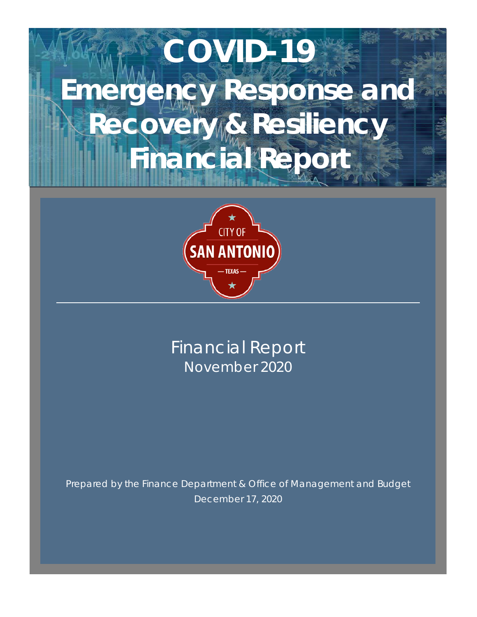# **COVID-19 Emergency Response and Recovery & Resiliency Financial Report**



Financial Report November 2020

Prepared by the Finance Department & Office of Management and Budget December 17, 2020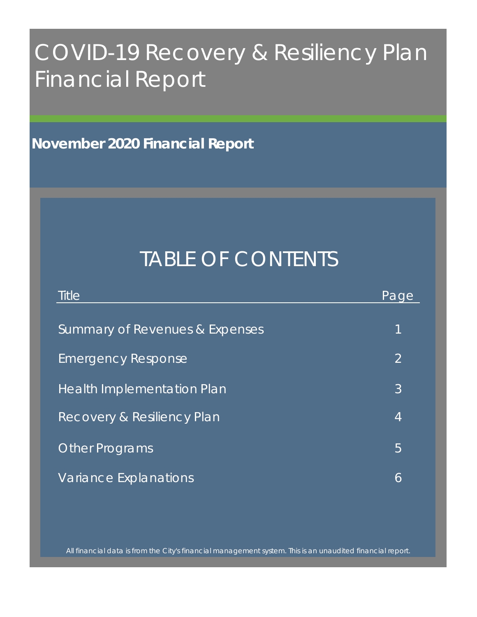# COVID-19 Recovery & Resiliency Plan Financial Report

**November 2020 Financial Report**

# TABLE OF CONTENTS

| <b>Title</b>                          | Page           |
|---------------------------------------|----------------|
| Summary of Revenues & Expenses        | 1              |
| <b>Emergency Response</b>             | $\overline{2}$ |
| <b>Health Implementation Plan</b>     | 3              |
| <b>Recovery &amp; Resiliency Plan</b> | 4              |
| <b>Other Programs</b>                 | 5              |
| Variance Explanations                 | 6              |

All financial data is from the City's financial management system. This is an unaudited financial report.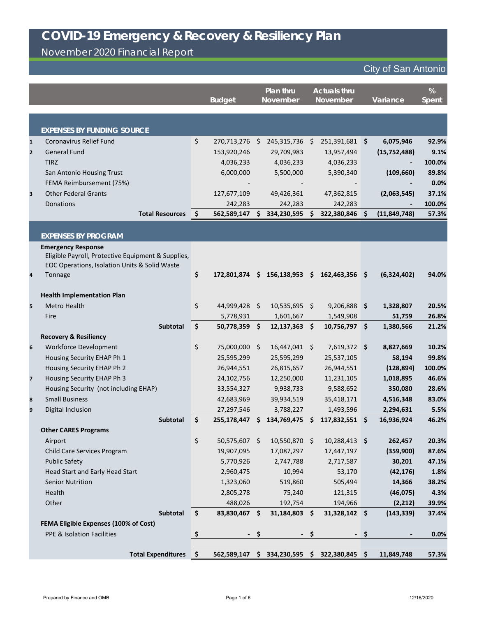November 2020 Financial Report

|                |                                                    |                     | <b>Budget</b> |              | Plan thru<br><b>November</b> |      | <b>Actuals thru</b><br><b>November</b> |         | Variance       | %<br><b>Spent</b> |
|----------------|----------------------------------------------------|---------------------|---------------|--------------|------------------------------|------|----------------------------------------|---------|----------------|-------------------|
|                |                                                    |                     |               |              |                              |      |                                        |         |                |                   |
|                | <b>EXPENSES BY FUNDING SOURCE</b>                  |                     |               |              |                              |      |                                        |         |                |                   |
| $\mathbf{1}$   | <b>Coronavirus Relief Fund</b>                     | \$                  | 270,713,276   | Ş.           | 245,315,736                  | \$   | 251,391,681 \$                         |         | 6,075,946      | 92.9%             |
| $\overline{2}$ | <b>General Fund</b>                                |                     | 153,920,246   |              | 29,709,983                   |      | 13,957,494                             |         | (15, 752, 488) | 9.1%              |
|                | <b>TIRZ</b>                                        |                     | 4,036,233     |              | 4,036,233                    |      | 4,036,233                              |         |                | 100.0%            |
|                | San Antonio Housing Trust                          |                     | 6,000,000     |              | 5,500,000                    |      | 5,390,340                              |         | (109, 660)     | 89.8%             |
|                | FEMA Reimbursement (75%)                           |                     |               |              |                              |      |                                        |         |                | 0.0%              |
| 3              | <b>Other Federal Grants</b>                        |                     | 127,677,109   |              | 49,426,361                   |      | 47,362,815                             |         | (2,063,545)    | 37.1%             |
|                | Donations                                          |                     | 242,283       |              | 242,283                      |      | 242,283                                |         |                | 100.0%            |
|                | <b>Total Resources</b>                             | $\ddot{\bm{\zeta}}$ | 562,589,147   | S.           | 334,230,595 \$               |      | 322,380,846                            | Ŝ.      | (11, 849, 748) | 57.3%             |
|                |                                                    |                     |               |              |                              |      |                                        |         |                |                   |
|                | <b>EXPENSES BY PROGRAM</b>                         |                     |               |              |                              |      |                                        |         |                |                   |
|                | <b>Emergency Response</b>                          |                     |               |              |                              |      |                                        |         |                |                   |
|                | Eligible Payroll, Protective Equipment & Supplies, |                     |               |              |                              |      |                                        |         |                |                   |
|                | EOC Operations, Isolation Units & Solid Waste      |                     |               |              |                              |      |                                        |         |                |                   |
| 4              | Tonnage                                            | \$                  | 172,801,874   | \$           | 156,138,953                  | \$   | 162,463,356                            | \$      | (6,324,402)    | 94.0%             |
|                | <b>Health Implementation Plan</b>                  |                     |               |              |                              |      |                                        |         |                |                   |
| 5              | <b>Metro Health</b>                                | \$                  | 44,999,428    | $\mathsf{S}$ | $10,535,695$ \$              |      | 9,206,888                              | $\zeta$ | 1,328,807      | 20.5%             |
|                | Fire                                               |                     | 5,778,931     |              | 1,601,667                    |      | 1,549,908                              |         | 51,759         | 26.8%             |
|                | Subtotal                                           | \$                  | 50,778,359    | \$           | $12,137,363$ \$              |      | $10,756,797$ \$                        |         | 1,380,566      | 21.2%             |
|                | <b>Recovery &amp; Resiliency</b>                   |                     |               |              |                              |      |                                        |         |                |                   |
| 6              | <b>Workforce Development</b>                       | \$                  | 75,000,000    | \$           | 16,447,041                   | S    | 7,619,372 \$                           |         | 8,827,669      | 10.2%             |
|                | Housing Security EHAP Ph 1                         |                     | 25,595,299    |              | 25,595,299                   |      | 25,537,105                             |         | 58,194         | 99.8%             |
|                | Housing Security EHAP Ph 2                         |                     | 26,944,551    |              | 26,815,657                   |      | 26,944,551                             |         | (128, 894)     | 100.0%            |
| $\overline{7}$ | Housing Security EHAP Ph 3                         |                     | 24,102,756    |              | 12,250,000                   |      | 11,231,105                             |         | 1,018,895      | 46.6%             |
|                | Housing Security (not including EHAP)              |                     | 33,554,327    |              | 9,938,733                    |      | 9,588,652                              |         | 350,080        | 28.6%             |
| 8              | <b>Small Business</b>                              |                     | 42,683,969    |              | 39,934,519                   |      | 35,418,171                             |         | 4,516,348      | 83.0%             |
| 9              | Digital Inclusion                                  |                     | 27,297,546    |              | 3,788,227                    |      | 1,493,596                              |         | 2,294,631      | 5.5%              |
|                | Subtotal                                           | \$                  | 255,178,447   | \$           | 134,769,475                  | \$   | 117,832,551 \$                         |         | 16,936,924     | 46.2%             |
|                | <b>Other CARES Programs</b>                        |                     |               |              |                              |      |                                        |         |                |                   |
|                | Airport                                            | \$                  | 50,575,607 \$ |              | 10,550,870 \$                |      | $10,288,413$ \$                        |         | 262,457        | 20.3%             |
|                | Child Care Services Program                        |                     | 19,907,095    |              | 17,087,297                   |      | 17,447,197                             |         | (359,900)      | 87.6%             |
|                | <b>Public Safety</b>                               |                     | 5,770,926     |              | 2,747,788                    |      | 2,717,587                              |         | 30,201         | 47.1%             |
|                | Head Start and Early Head Start                    |                     | 2,960,475     |              | 10,994                       |      | 53,170                                 |         | (42, 176)      | 1.8%              |
|                | <b>Senior Nutrition</b>                            |                     | 1,323,060     |              | 519,860                      |      | 505,494                                |         | 14,366         | 38.2%             |
|                | Health                                             |                     | 2,805,278     |              | 75,240                       |      | 121,315                                |         | (46, 075)      | 4.3%              |
|                | Other                                              |                     | 488,026       |              | 192,754                      |      | 194,966                                |         | (2, 212)       | 39.9%             |
|                | Subtotal                                           | \$                  | 83,830,467    | \$           | 31,184,803 \$                |      | 31,328,142 \$                          |         | (143, 339)     | 37.4%             |
|                | <b>FEMA Eligible Expenses (100% of Cost)</b>       |                     |               |              |                              |      |                                        |         |                |                   |
|                | PPE & Isolation Facilities                         | \$                  |               | - \$         |                              | - \$ |                                        | -\$     |                | 0.0%              |
|                | <b>Total Expenditures</b>                          | ∣\$                 | 562,589,147   | \$           | 334,230,595                  | \$   | 322,380,845                            | \$      | 11,849,748     | 57.3%             |
|                |                                                    |                     |               |              |                              |      |                                        |         |                |                   |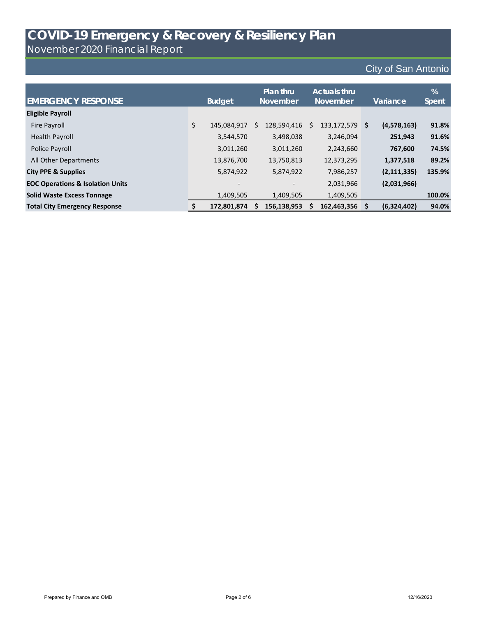November 2020 Financial Report

| <b>EMERGENCY RESPONSE</b>                   | <b>Budget</b>                                                                                         | <b>Plan thru</b><br><b>November</b> |   | <b>Actuals thru</b><br><b>November</b> | Variance      | %<br>Spent |
|---------------------------------------------|-------------------------------------------------------------------------------------------------------|-------------------------------------|---|----------------------------------------|---------------|------------|
|                                             |                                                                                                       |                                     |   |                                        |               |            |
| <b>Eligible Payroll</b>                     |                                                                                                       |                                     |   |                                        |               |            |
| Fire Payroll                                | \$<br>145,084,917                                                                                     | \$<br>128,594,416                   | S | 133,172,579 \$                         | (4,578,163)   | 91.8%      |
| <b>Health Payroll</b>                       | 3,544,570                                                                                             | 3,498,038                           |   | 3,246,094                              | 251,943       | 91.6%      |
| Police Payroll                              | 3,011,260                                                                                             | 3,011,260                           |   | 2,243,660                              | 767,600       | 74.5%      |
| All Other Departments                       | 13,876,700                                                                                            | 13,750,813                          |   | 12,373,295                             | 1,377,518     | 89.2%      |
| <b>City PPE &amp; Supplies</b>              | 5,874,922                                                                                             | 5,874,922                           |   | 7,986,257                              | (2, 111, 335) | 135.9%     |
| <b>EOC Operations &amp; Isolation Units</b> | $\hskip1.6pt\hskip1.6pt\hskip1.6pt\hskip1.6pt\hskip1.6pt\hskip1.6pt\hskip1.6pt\hskip1.6pt\hskip1.6pt$ |                                     |   | 2,031,966                              | (2,031,966)   |            |
| <b>Solid Waste Excess Tonnage</b>           | 1,409,505                                                                                             | 1,409,505                           |   | 1,409,505                              |               | 100.0%     |
| <b>Total City Emergency Response</b>        | 172,801,874                                                                                           | 156,138,953                         |   | 162,463,356                            | (6,324,402)   | 94.0%      |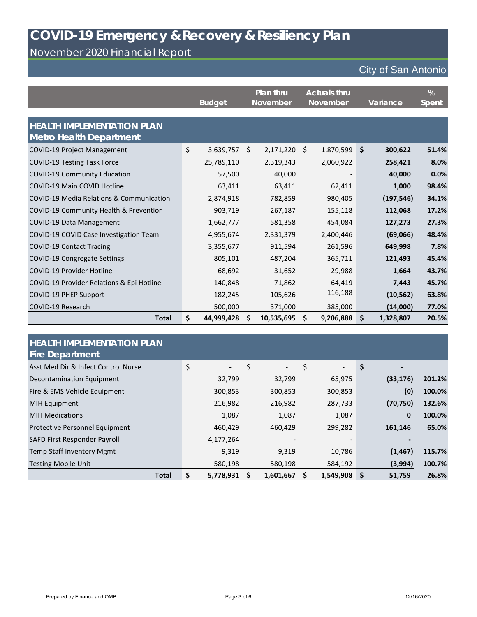#### November 2020 Financial Report

|                                                                     | <b>Budget</b>    |    | Plan thru<br><b>November</b> | <b>Actuals thru</b><br><b>November</b> |           |               | Variance   | %<br>Spent |
|---------------------------------------------------------------------|------------------|----|------------------------------|----------------------------------------|-----------|---------------|------------|------------|
| <b>HEALTH IMPLEMENTATION PLAN</b><br><b>Metro Health Department</b> |                  |    |                              |                                        |           |               |            |            |
| <b>COVID-19 Project Management</b>                                  | \$<br>3,639,757  | \$ | 2,171,220                    | \$                                     | 1,870,599 | $\mathsf{\$}$ | 300,622    | 51.4%      |
| <b>COVID-19 Testing Task Force</b>                                  | 25,789,110       |    | 2,319,343                    |                                        | 2,060,922 |               | 258,421    | 8.0%       |
| <b>COVID-19 Community Education</b>                                 | 57,500           |    | 40,000                       |                                        |           |               | 40,000     | 0.0%       |
| <b>COVID-19 Main COVID Hotline</b>                                  | 63,411           |    | 63,411                       |                                        | 62,411    |               | 1,000      | 98.4%      |
| <b>COVID-19 Media Relations &amp; Communication</b>                 | 2,874,918        |    | 782,859                      |                                        | 980,405   |               | (197, 546) | 34.1%      |
| COVID-19 Community Health & Prevention                              | 903,719          |    | 267,187                      |                                        | 155,118   |               | 112,068    | 17.2%      |
| <b>COVID-19 Data Management</b>                                     | 1,662,777        |    | 581,358                      |                                        | 454,084   |               | 127,273    | 27.3%      |
| COVID-19 COVID Case Investigation Team                              | 4,955,674        |    | 2,331,379                    |                                        | 2,400,446 |               | (69,066)   | 48.4%      |
| <b>COVID-19 Contact Tracing</b>                                     | 3,355,677        |    | 911,594                      |                                        | 261,596   |               | 649,998    | 7.8%       |
| <b>COVID-19 Congregate Settings</b>                                 | 805,101          |    | 487,204                      |                                        | 365,711   |               | 121,493    | 45.4%      |
| <b>COVID-19 Provider Hotline</b>                                    | 68,692           |    | 31,652                       |                                        | 29,988    |               | 1,664      | 43.7%      |
| COVID-19 Provider Relations & Epi Hotline                           | 140,848          |    | 71,862                       |                                        | 64,419    |               | 7,443      | 45.7%      |
| <b>COVID-19 PHEP Support</b>                                        | 182,245          |    | 105,626                      |                                        | 116,188   |               | (10, 562)  | 63.8%      |
| COVID-19 Research                                                   | 500,000          |    | 371,000                      |                                        | 385,000   |               | (14,000)   | 77.0%      |
| <b>Total</b>                                                        | \$<br>44,999,428 | S  | 10,535,695                   | \$                                     | 9,206,888 | \$            | 1,328,807  | 20.5%      |

| <b>HEALTH IMPLEMENTATION PLAN</b><br><b>Fire Department</b> |                                |                                |                      |                      |        |
|-------------------------------------------------------------|--------------------------------|--------------------------------|----------------------|----------------------|--------|
| Asst Med Dir & Infect Control Nurse                         | \$<br>$\overline{\phantom{0}}$ | \$<br>$\overline{\phantom{0}}$ | \$<br>$\blacksquare$ | \$<br>$\blacksquare$ |        |
| Decontamination Equipment                                   | 32,799                         | 32,799                         | 65,975               | (33, 176)            | 201.2% |
| Fire & EMS Vehicle Equipment                                | 300,853                        | 300,853                        | 300,853              | (0)                  | 100.0% |
| <b>MIH Equipment</b>                                        | 216,982                        | 216,982                        | 287,733              | (70, 750)            | 132.6% |
| <b>MIH Medications</b>                                      | 1,087                          | 1,087                          | 1,087                | $\bf{0}$             | 100.0% |
| Protective Personnel Equipment                              | 460,429                        | 460,429                        | 299,282              | 161,146              | 65.0%  |
| SAFD First Responder Payroll                                | 4,177,264                      |                                |                      |                      |        |
| <b>Temp Staff Inventory Mgmt</b>                            | 9,319                          | 9,319                          | 10,786               | (1, 467)             | 115.7% |
| <b>Testing Mobile Unit</b>                                  | 580,198                        | 580,198                        | 584,192              | (3,994)              | 100.7% |
| <b>Total</b>                                                | \$<br>5,778,931                | 1,601,667                      | 1,549,908            | \$<br>51,759         | 26.8%  |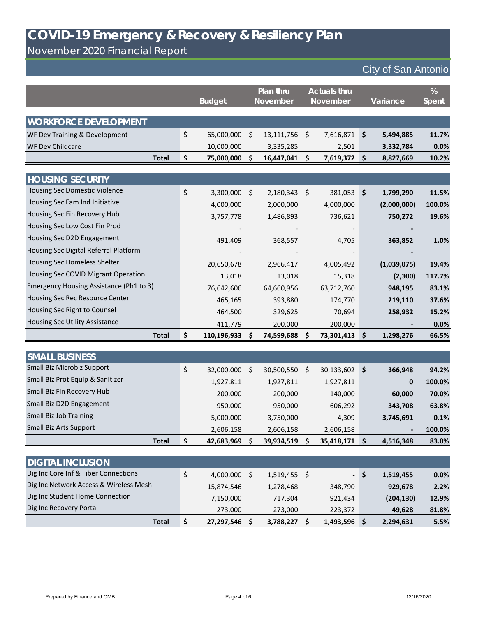November 2020 Financial Report

City of San Antonio

|                                         | <b>Budget</b>     |         | Plan thru<br><b>November</b> |         | <b>Actuals thru</b><br><b>November</b> |                     | Variance    | %<br><b>Spent</b> |
|-----------------------------------------|-------------------|---------|------------------------------|---------|----------------------------------------|---------------------|-------------|-------------------|
| <b>WORKFORCE DEVELOPMENT</b>            |                   |         |                              |         |                                        |                     |             |                   |
| WF Dev Training & Development           | \$<br>65,000,000  | \$      | 13,111,756                   | \$      | 7,616,871                              | \$                  | 5,494,885   | 11.7%             |
| WF Dev Childcare                        | 10,000,000        |         | 3,335,285                    |         | 2,501                                  |                     | 3,332,784   | 0.0%              |
| <b>Total</b>                            | \$<br>75,000,000  | \$      | 16,447,041                   | \$      | 7,619,372                              | \$                  | 8,827,669   | 10.2%             |
|                                         |                   |         |                              |         |                                        |                     |             |                   |
| <b>HOUSING SECURITY</b>                 |                   |         |                              |         |                                        |                     |             |                   |
| <b>Housing Sec Domestic Violence</b>    | \$<br>3,300,000   | $\zeta$ | 2,180,343                    | $\zeta$ | 381,053                                | $\ddot{\bm{\zeta}}$ | 1,799,290   | 11.5%             |
| Housing Sec Fam Ind Initiative          | 4,000,000         |         | 2,000,000                    |         | 4,000,000                              |                     | (2,000,000) | 100.0%            |
| Housing Sec Fin Recovery Hub            | 3,757,778         |         | 1,486,893                    |         | 736,621                                |                     | 750,272     | 19.6%             |
| Housing Sec Low Cost Fin Prod           |                   |         |                              |         |                                        |                     |             |                   |
| Housing Sec D2D Engagement              | 491,409           |         | 368,557                      |         | 4,705                                  |                     | 363,852     | 1.0%              |
| Housing Sec Digital Referral Platform   |                   |         |                              |         |                                        |                     |             |                   |
| Housing Sec Homeless Shelter            | 20,650,678        |         | 2,966,417                    |         | 4,005,492                              |                     | (1,039,075) | 19.4%             |
| Housing Sec COVID Migrant Operation     | 13,018            |         | 13,018                       |         | 15,318                                 |                     | (2,300)     | 117.7%            |
| Emergency Housing Assistance (Ph1 to 3) | 76,642,606        |         | 64,660,956                   |         | 63,712,760                             |                     | 948,195     | 83.1%             |
| Housing Sec Rec Resource Center         | 465,165           |         | 393,880                      |         | 174,770                                |                     | 219,110     | 37.6%             |
| Housing Sec Right to Counsel            | 464,500           |         | 329,625                      |         | 70,694                                 |                     | 258,932     | 15.2%             |
| <b>Housing Sec Utility Assistance</b>   | 411,779           |         | 200,000                      |         | 200,000                                |                     |             | 0.0%              |
| <b>Total</b>                            | \$<br>110,196,933 | S       | 74,599,688                   | \$      | 73,301,413                             | \$                  | 1,298,276   | 66.5%             |
|                                         |                   |         |                              |         |                                        |                     |             |                   |
| <b>SMALL BUSINESS</b>                   |                   |         |                              |         |                                        |                     |             |                   |
| <b>Small Biz Microbiz Support</b>       | \$<br>32,000,000  | \$      | 30,500,550                   | \$.     | 30,133,602                             | $\dot{\bm{\zeta}}$  | 366,948     | 94.2%             |
| Small Biz Prot Equip & Sanitizer        | 1,927,811         |         | 1,927,811                    |         | 1,927,811                              |                     | 0           | 100.0%            |
| Small Biz Fin Recovery Hub              | 200,000           |         | 200,000                      |         | 140,000                                |                     | 60,000      | 70.0%             |
| Small Biz D2D Engagement                | 950,000           |         | 950,000                      |         | 606,292                                |                     | 343,708     | 63.8%             |
| <b>Small Biz Job Training</b>           | 5,000,000         |         | 3,750,000                    |         | 4,309                                  |                     | 3,745,691   | 0.1%              |
| <b>Small Biz Arts Support</b>           | 2,606,158         |         | 2,606,158                    |         | 2,606,158                              |                     |             | 100.0%            |
| <b>Total</b>                            | \$<br>42,683,969  | \$      | 39,934,519                   | \$      | 35,418,171                             | \$                  | 4,516,348   | 83.0%             |

| <b>DIGITAL INCLUSION</b>               |            |           |    |           |        |            |       |
|----------------------------------------|------------|-----------|----|-----------|--------|------------|-------|
| Dig Inc Core Inf & Fiber Connections   | 4,000,000  | 1,519,455 | -S |           | $-1$ S | 1,519,455  | 0.0%  |
| Dig Inc Network Access & Wireless Mesh | 15,874,546 | 1,278,468 |    | 348,790   |        | 929,678    | 2.2%  |
| Dig Inc Student Home Connection        | 7,150,000  | 717,304   |    | 921,434   |        | (204, 130) | 12.9% |
| Dig Inc Recovery Portal                | 273,000    | 273,000   |    | 223,372   |        | 49,628     | 81.8% |
| <b>Total</b>                           | 27,297,546 | 3,788,227 |    | 1,493,596 |        | 2,294,631  | 5.5%  |

Prepared by Finance and OMB **Page 4 of 6** 12/16/2020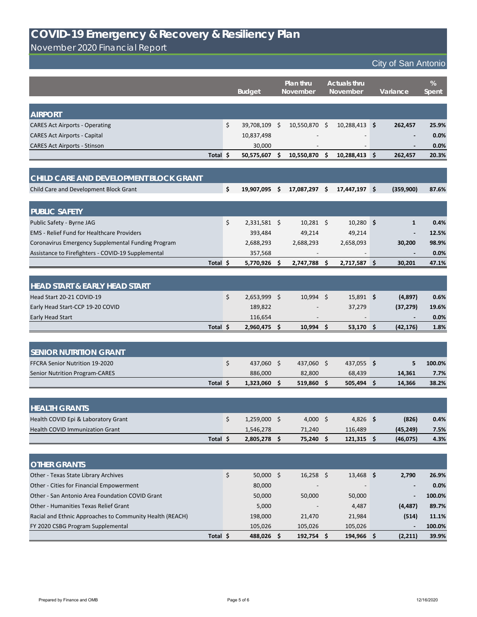November 2020 Financial Report

|                                                         |          | <b>Budget</b>        |     | <b>Plan thru</b><br><b>November</b> | <b>Actuals thru</b><br>November |                 | Variance |              | %<br>Spent |
|---------------------------------------------------------|----------|----------------------|-----|-------------------------------------|---------------------------------|-----------------|----------|--------------|------------|
|                                                         |          |                      |     |                                     |                                 |                 |          |              |            |
| <b>AIRPORT</b><br><b>CARES Act Airports - Operating</b> |          | \$<br>39,708,109 \$  |     | 10,550,870 \$                       |                                 | $10,288,413$ \$ |          | 262,457      | 25.9%      |
| <b>CARES Act Airports - Capital</b>                     |          | 10,837,498           |     |                                     |                                 |                 |          |              | 0.0%       |
| <b>CARES Act Airports - Stinson</b>                     |          | 30,000               |     |                                     |                                 |                 |          |              | 0.0%       |
|                                                         | Total \$ | 50,575,607 \$        |     | 10,550,870                          | $\zeta$                         | $10,288,413$ \$ |          | 262,457      | 20.3%      |
|                                                         |          |                      |     |                                     |                                 |                 |          |              |            |
| CHILD CARE AND DEVELOPMENT BLOCK GRANT                  |          |                      |     |                                     |                                 |                 |          |              |            |
| Child Care and Development Block Grant                  |          | \$<br>19,907,095     | -\$ | 17,087,297 \$                       |                                 | $17,447,197$ \$ |          | (359,900)    | 87.6%      |
| <b>PUBLIC SAFETY</b>                                    |          |                      |     |                                     |                                 |                 |          |              |            |
| Public Safety - Byrne JAG                               |          | \$<br>$2,331,581$ \$ |     | $10,281$ \$                         |                                 | $10,280$ \$     |          | $\mathbf{1}$ | 0.4%       |
| <b>EMS</b> - Relief Fund for Healthcare Providers       |          | 393,484              |     | 49,214                              |                                 | 49,214          |          |              | 12.5%      |
| Coronavirus Emergency Supplemental Funding Program      |          | 2,688,293            |     | 2,688,293                           |                                 | 2,658,093       |          | 30,200       | 98.9%      |
| Assistance to Firefighters - COVID-19 Supplemental      |          | 357,568              |     |                                     |                                 |                 |          |              | 0.0%       |
|                                                         | Total \$ | 5,770,926 \$         |     | 2,747,788                           | \$                              | 2,717,587 \$    |          | 30,201       | 47.1%      |
|                                                         |          |                      |     |                                     |                                 |                 |          |              |            |
| <b>HEAD START &amp; EARLY HEAD START</b>                |          |                      |     |                                     |                                 |                 |          |              |            |
| Head Start 20-21 COVID-19                               |          | \$<br>2,653,999 \$   |     | $10,994$ \$                         |                                 | $15,891$ \$     |          | (4,897)      | 0.6%       |
| Early Head Start-CCP 19-20 COVID                        |          | 189,822              |     |                                     |                                 | 37,279          |          | (37, 279)    | 19.6%      |
| Early Head Start                                        |          | 116,654              |     |                                     |                                 |                 |          |              | 0.0%       |
|                                                         | Total \$ | 2,960,475 \$         |     | $10,994$ \$                         |                                 | $53,170$ \$     |          | (42, 176)    | 1.8%       |
|                                                         |          |                      |     |                                     |                                 |                 |          |              |            |
| <b>SENIOR NUTRITION GRANT</b>                           |          |                      |     |                                     |                                 |                 |          |              |            |
| FFCRA Senior Nutrition 19-2020                          |          | \$<br>437,060 \$     |     | 437,060 \$                          |                                 | 437,055 \$      |          | 5            | 100.0%     |
| <b>Senior Nutrition Program-CARES</b>                   |          | 886,000              |     | 82,800                              |                                 | 68,439          |          | 14,361       | 7.7%       |
|                                                         | Total \$ | $1,323,060$ \$       |     | 519,860 \$                          |                                 | $505,494$ \$    |          | 14,366       | 38.2%      |
|                                                         |          |                      |     |                                     |                                 |                 |          |              |            |
| <b>HEALTH GRANTS</b>                                    |          |                      |     |                                     |                                 |                 |          |              |            |
| Health COVID Epi & Laboratory Grant                     |          | \$<br>$1,259,000$ \$ |     | 4,000 \$                            |                                 | $4,826$ \$      |          | (826)        | 0.4%       |
| <b>Health COVID Immunization Grant</b>                  |          | 1,546,278            |     | 71,240                              |                                 | 116,489         |          | (45, 249)    | 7.5%       |
|                                                         | Total \$ | 2,805,278 \$         |     | 75,240 \$                           |                                 | $121,315$ \$    |          | (46, 075)    | 4.3%       |
| <b>OTHER GRANTS</b>                                     |          |                      |     |                                     |                                 |                 |          |              |            |
| Other - Texas State Library Archives                    |          | \$<br>50,000 \$      |     | $16,258$ \$                         |                                 | $13,468$ \$     |          | 2,790        | 26.9%      |

| Total \$                                                 | 488,026 | 192,754                  | 194,966 \$ | (2,211)  | 39.9%   |
|----------------------------------------------------------|---------|--------------------------|------------|----------|---------|
| FY 2020 CSBG Program Supplemental                        | 105,026 | 105,026                  | 105,026    |          | 100.0%  |
| Racial and Ethnic Approaches to Community Health (REACH) | 198,000 | 21,470                   | 21,984     | (514)    | 11.1%   |
| Other - Humanities Texas Relief Grant                    | 5,000   | $\overline{\phantom{0}}$ | 4,487      | (4, 487) | 89.7%   |
| Other - San Antonio Area Foundation COVID Grant          | 50,000  | 50,000                   | 50,000     |          | 100.0%  |
| Other - Cities for Financial Empowerment                 | 80,000  | $\sim$                   |            |          | $0.0\%$ |

### **COVID-19 Emergency & Recovery & Resiliency Plan**